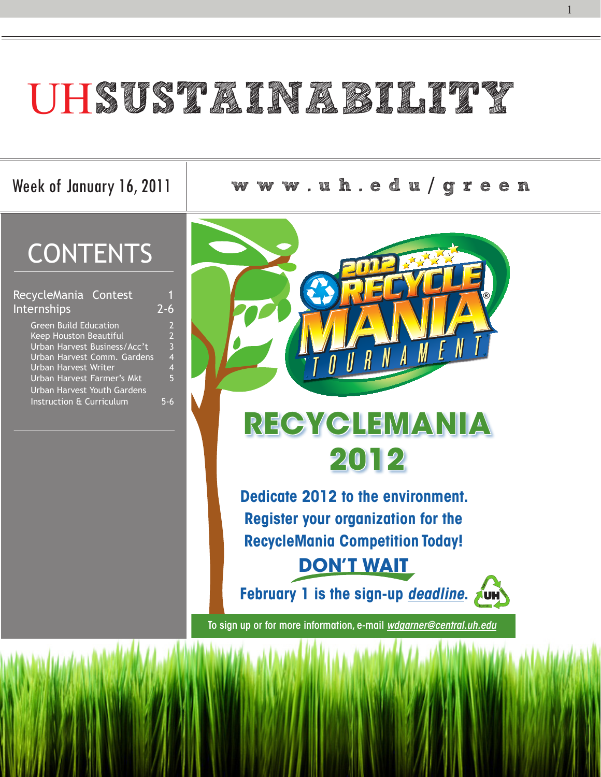# UHSUSTAINABIAN SI

Week of January 16, 2011 **w w w . u h . e d u** / **g r e e n**

### **CONTENTS**

| RecycleMania Contest               |                |
|------------------------------------|----------------|
| Internships                        | $7 -$<br>6     |
| <b>Green Build Education</b>       | $\overline{2}$ |
| <b>Keep Houston Beautiful</b>      | $\overline{2}$ |
| Urban Harvest Business/Acc't       | $\overline{3}$ |
| Urban Harvest Comm. Gardens        | 4              |
| <b>Urban Harvest Writer</b>        | 4              |
| Urban Harvest Farmer's Mkt         | 5              |
| <b>Urban Harvest Youth Gardens</b> |                |
| Instruction & Curriculum           |                |

1

To sign up or for more information, e-mail *wdgarner@central.uh.edu*







**Dedicate 2012 to the environment. Register your organization for the RecycleMania Competition Today! DON'T WAIT**

**February 1 is the sign-up** *deadline*. Aun

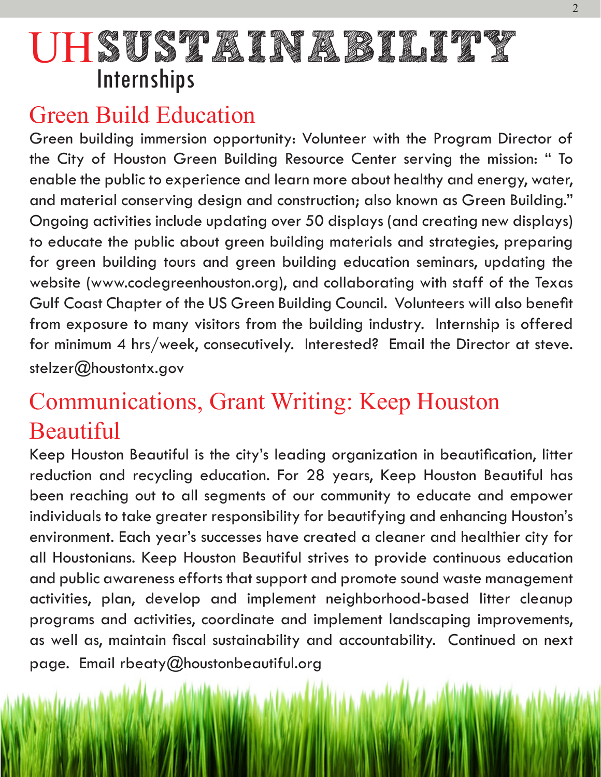### Green Build Education

Green building immersion opportunity: Volunteer with the Program Director of the City of Houston Green Building Resource Center serving the mission: " To enable the public to experience and learn more about healthy and energy, water, and material conserving design and construction; also known as Green Building." Ongoing activities include updating over 50 displays (and creating new displays) to educate the public about green building materials and strategies, preparing for green building tours and green building education seminars, updating the website (www.codegreenhouston.org), and collaborating with staff of the Texas Gulf Coast Chapter of the US Green Building Council. Volunteers will also benefit from exposure to many visitors from the building industry. Internship is offered for minimum 4 hrs/week, consecutively. Interested? Email the Director at steve. stelzer@houstontx.gov

### Communications, Grant Writing: Keep Houston Beautiful

Keep Houston Beautiful is the city's leading organization in beautification, litter reduction and recycling education. For 28 years, Keep Houston Beautiful has been reaching out to all segments of our community to educate and empower individuals to take greater responsibility for beautifying and enhancing Houston's environment. Each year's successes have created a cleaner and healthier city for all Houstonians. Keep Houston Beautiful strives to provide continuous education and public awareness efforts that support and promote sound waste management activities, plan, develop and implement neighborhood-based litter cleanup programs and activities, coordinate and implement landscaping improvements, as well as, maintain fiscal sustainability and accountability. Continued on next page. Email rbeaty@houstonbeautiful.org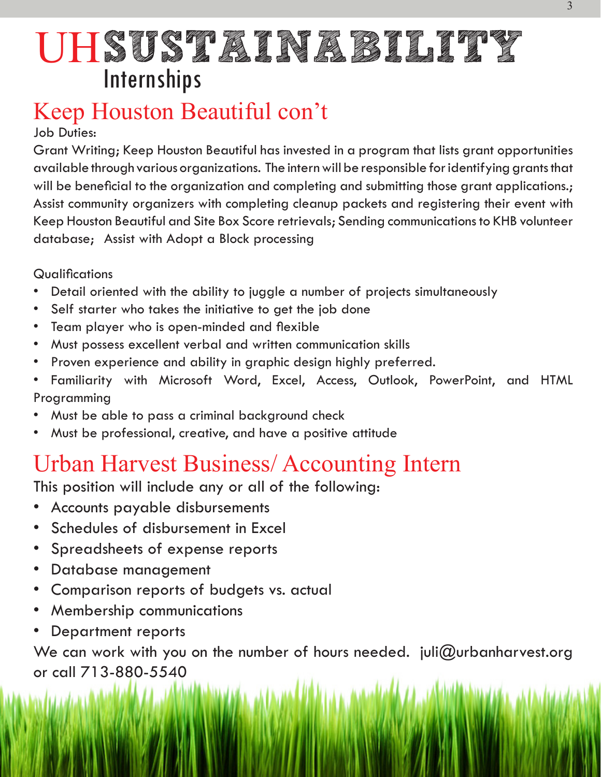### Keep Houston Beautiful con't

Job Duties:

Grant Writing; Keep Houston Beautiful has invested in a program that lists grant opportunities available through various organizations. The intern will be responsible for identifying grants that will be beneficial to the organization and completing and submitting those grant applications.; Assist community organizers with completing cleanup packets and registering their event with Keep Houston Beautiful and Site Box Score retrievals; Sending communications to KHB volunteer database; Assist with Adopt a Block processing

#### **Qualifications**

We can work with you on the number of hours needed. juli@urbanharvest.org or call 713-880-5540

# UH**SUSTAINABILITY Internships**

- Detail oriented with the ability to juggle a number of projects simultaneously
- Self starter who takes the initiative to get the job done
- Team player who is open-minded and flexible
- Must possess excellent verbal and written communication skills
- Proven experience and ability in graphic design highly preferred.
- Familiarity with Microsoft Word, Excel, Access, Outlook, PowerPoint, and HTML Programming
- Must be able to pass a criminal background check
- Must be professional, creative, and have a positive attitude

#### Urban Harvest Business/ Accounting Intern

This position will include any or all of the following:

- Accounts payable disbursements
- Schedules of disbursement in Excel
- Spreadsheets of expense reports
- Database management
- Comparison reports of budgets vs. actual
- Membership communications
- Department reports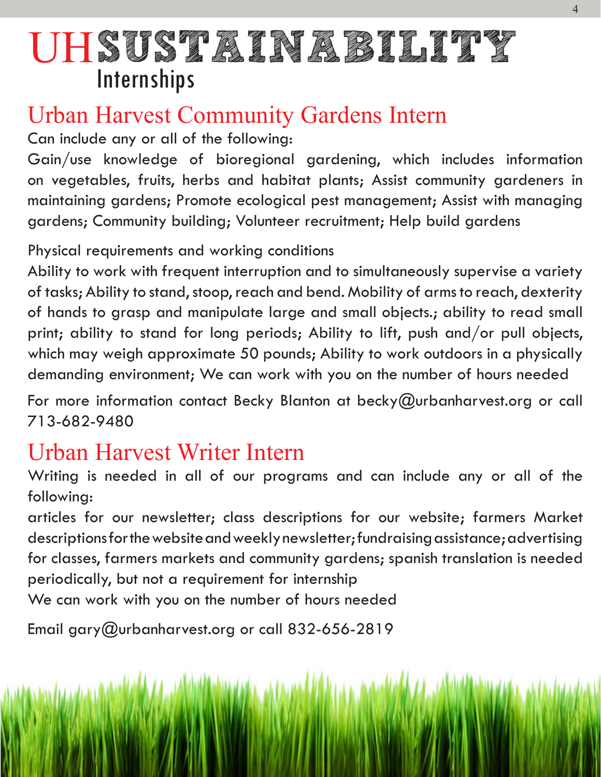### Urban Harvest Community Gardens Intern

Can include any or all of the following:

Gain/use knowledge of bioregional gardening, which includes information on vegetables, fruits, herbs and habitat plants; Assist community gardeners in maintaining gardens; Promote ecological pest management; Assist with managing gardens; Community building; Volunteer recruitment; Help build gardens

Physical requirements and working conditions

For more information contact Becky Blanton at becky@urbanharvest.org or call 713-682-9480

Ability to work with frequent interruption and to simultaneously supervise a variety of tasks; Ability to stand, stoop, reach and bend. Mobility of arms to reach, dexterity of hands to grasp and manipulate large and small objects.; ability to read small print; ability to stand for long periods; Ability to lift, push and/or pull objects, which may weigh approximate 50 pounds; Ability to work outdoors in a physically demanding environment; We can work with you on the number of hours needed

#### Urban Harvest Writer Intern

Writing is needed in all of our programs and can include any or all of the following:

articles for our newsletter; class descriptions for our website; farmers Market descriptions for the website and weekly newsletter; fundraising assistance; advertising for classes, farmers markets and community gardens; spanish translation is needed periodically, but not a requirement for internship We can work with you on the number of hours needed

Email gary@urbanharvest.org or call  $832-656-2819$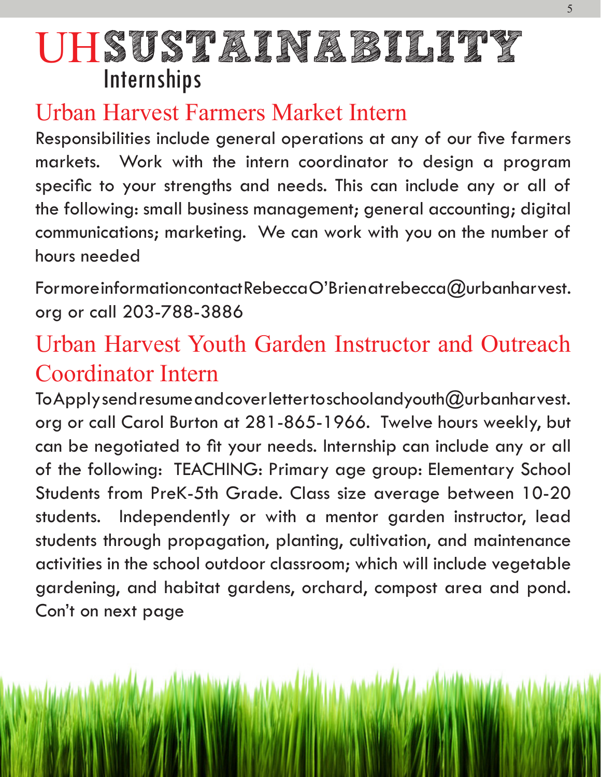### Urban Harvest Farmers Market Intern

Responsibilities include general operations at any of our five farmers markets. Work with the intern coordinator to design a program specific to your strengths and needs. This can include any or all of the following: small business management; general accounting; digital communications; marketing. We can work with you on the number of hours needed

Formore information contact Rebecca O'Brien at rebecca@urbanharvest. org or call 203-788-3886

### Urban Harvest Youth Garden Instructor and Outreach Coordinator Intern

To Apply send resume and cover letter to schoolandyouth  $@$  urbanharvest. org or call Carol Burton at 281-865-1966. Twelve hours weekly, but can be negotiated to fit your needs. Internship can include any or all of the following: TEACHING: Primary age group: Elementary School Students from PreK-5th Grade. Class size average between 10-20 students. Independently or with a mentor garden instructor, lead students through propagation, planting, cultivation, and maintenance activities in the school outdoor classroom; which will include vegetable gardening, and habitat gardens, orchard, compost area and pond. Con't on next page